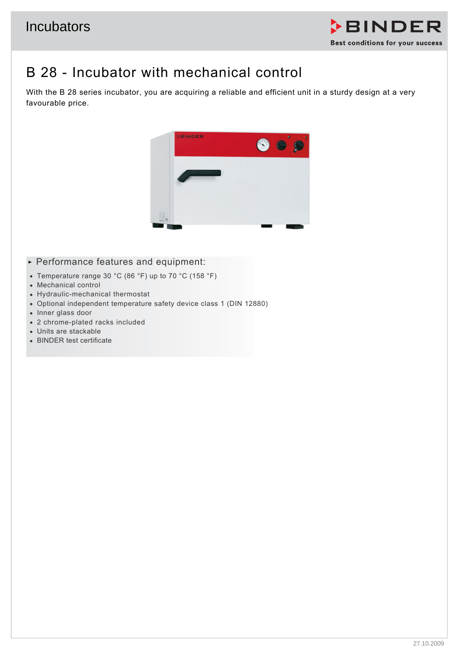

## B 28 - Incubator with mechanical control

With the B 28 series incubator, you are acquiring a reliable and efficient unit in a sturdy design at a very favourable price.



- **Performance features and equipment:**
- Temperature range 30 °C (86 °F) up to 70 °C (158 °F)
- Mechanical control
- Hydraulic-mechanical thermostat
- Optional independent temperature safety device class 1 (DIN 12880)
- Inner glass door
- 2 chrome-plated racks included
- Units are stackable
- BINDER test certificate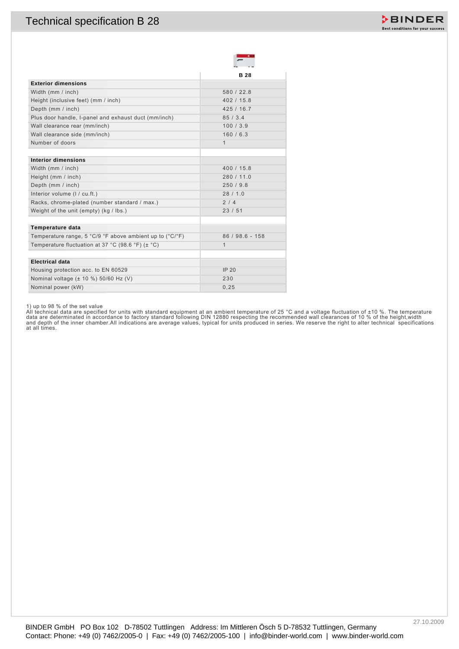

1) up to 98 % of the set value<br>All technical data are specified for units with standard equipment at an ambient temperature of 25 °C and a voltage fluctuation of ±10 %. The temperature<br>data are determinated in accordance t at all times.